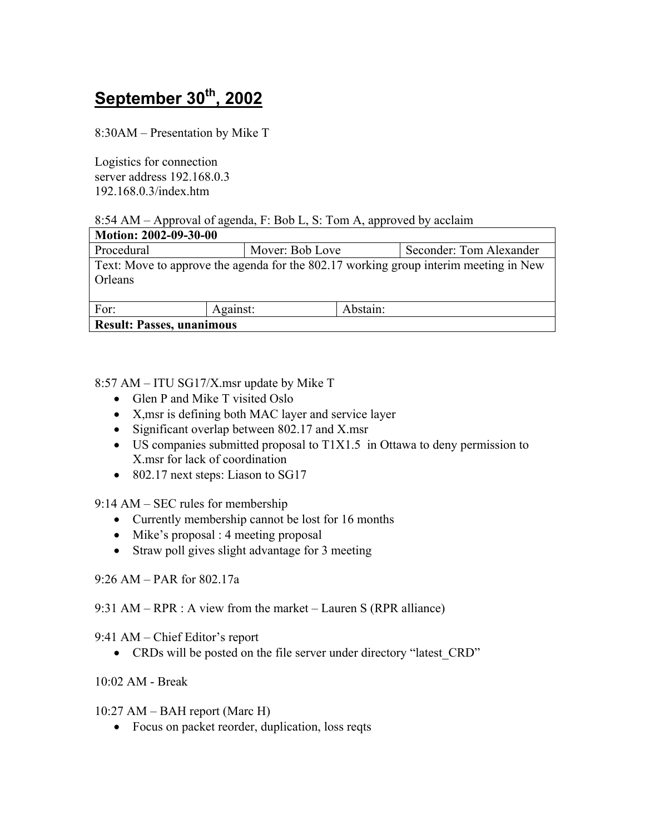# **September 30th, 2002**

8:30AM – Presentation by Mike T

Logistics for connection server address 192.168.0.3 192.168.0.3/index.htm

8:54 AM  $-$  Approval of agenda, F: Bob L, S: Tom A, approved by acclaim

| Motion: 2002-09-30-00                                                                           |          |                 |          |                         |  |
|-------------------------------------------------------------------------------------------------|----------|-----------------|----------|-------------------------|--|
| Procedural                                                                                      |          | Mover: Bob Love |          | Seconder: Tom Alexander |  |
| Text: Move to approve the agenda for the 802.17 working group interim meeting in New<br>Orleans |          |                 |          |                         |  |
| For:                                                                                            | Against: |                 | Abstain: |                         |  |
| <b>Result: Passes, unanimous</b>                                                                |          |                 |          |                         |  |

8:57 AM – ITU SG17/X.msr update by Mike T

- Glen P and Mike T visited Oslo
- X,msr is defining both MAC layer and service layer
- Significant overlap between 802.17 and X.msr
- US companies submitted proposal to T1X1.5 in Ottawa to deny permission to X.msr for lack of coordination
- 802.17 next steps: Liason to SG17

 $9:14$  AM – SEC rules for membership

- Currently membership cannot be lost for 16 months
- Mike's proposal : 4 meeting proposal
- Straw poll gives slight advantage for 3 meeting

 $9:26$  AM  $-$  PAR for 802.17a

9:31 AM – RPR : A view from the market – Lauren S (RPR alliance)

 $9:41$  AM – Chief Editor's report

• CRDs will be posted on the file server under directory "latest CRD"

10:02 AM - Break

 $10:27$  AM – BAH report (Marc H)

• Focus on packet reorder, duplication, loss reqts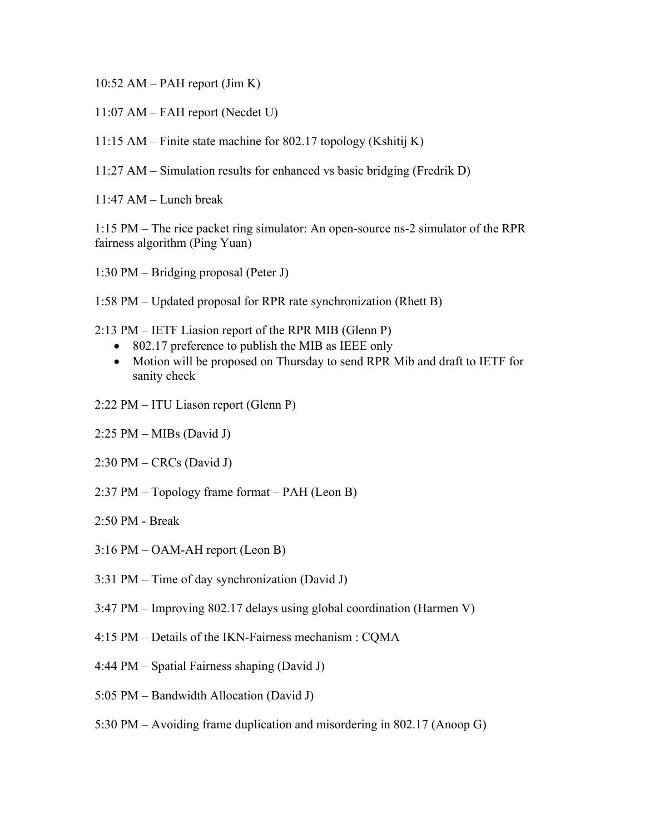$10:52$  AM – PAH report (Jim K)

- $11:07$  AM FAH report (Necdet U)
- 11:15 AM Finite state machine for 802.17 topology (Kshitij K)
- $11:27$  AM Simulation results for enhanced vs basic bridging (Fredrik D)
- $11:47$  AM Lunch break

1:15 PM – The rice packet ring simulator: An open-source ns-2 simulator of the RPR fairness algorithm (Ping Yuan)

1:30 PM  $-$  Bridging proposal (Peter J)

1:58 PM – Updated proposal for RPR rate synchronization (Rhett B)

- $2:13 \text{ PM} \text{IETF Liasion report of the RPR MIB (Glenn P)}$ 
	- 802.17 preference to publish the MIB as IEEE only
	- Motion will be proposed on Thursday to send RPR Mib and draft to IETF for sanity check
- 2:22 PM ITU Liason report (Glenn P)
- $2:25$  PM MIBs (David J)
- $2:30 \text{ PM} \text{CRCs}$  (David J)
- $2:37 \text{ PM} \text{Topology frame format} \text{PAH (Leon B)}$
- 2:50 PM Break
- $3:16$  PM  $-$  OAM-AH report (Leon B)
- $3:31 \text{ PM} \text{Time of day synchronization (David J)}$
- $3:47 \text{ PM} \text{Improving } 802.17$  delays using global coordination (Harmen V)
- 4:15 PM Details of the IKN-Fairness mechanism : CQMA
- $4:44 \text{ PM} \text{Spatial Fairness shaping (David J)}$
- $5:05 \text{ PM} \text{Bandwidth}$  Allocation (David J)
- 5:30 PM  $-$  Avoiding frame duplication and misordering in 802.17 (Anoop G)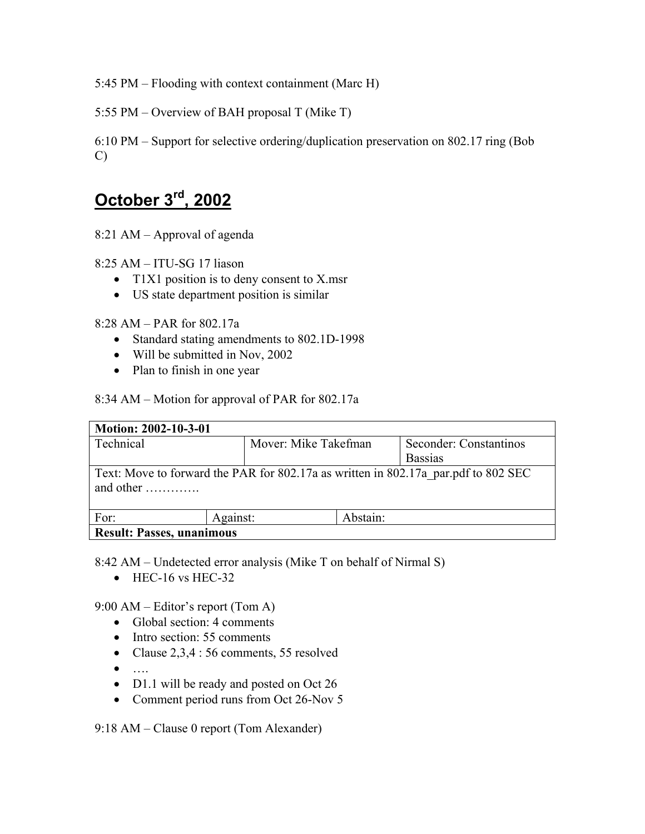5:45 PM  $-$  Flooding with context containment (Marc H)

5:55 PM  $-$  Overview of BAH proposal T (Mike T)

6:10 PM  $-$  Support for selective ordering/duplication preservation on 802.17 ring (Bob C)

## **October 3rd, 2002**

8:21 AM  $-$  Approval of agenda

 $8:25$  AM  $-$  ITU-SG 17 liason

- T1X1 position is to deny consent to X, msr
- US state department position is similar

 $8:28$  AM  $-$  PAR for 802.17a

- Standard stating amendments to 802.1D-1998
- Will be submitted in Nov, 2002
- Plan to finish in one year

8:34 AM – Motion for approval of PAR for  $802.17a$ 

| Motion: 2002-10-3-01                                                                                                |                      |                |                        |  |  |  |
|---------------------------------------------------------------------------------------------------------------------|----------------------|----------------|------------------------|--|--|--|
| Technical                                                                                                           | Mover: Mike Takefman |                | Seconder: Constantinos |  |  |  |
|                                                                                                                     |                      | <b>Bassias</b> |                        |  |  |  |
| Text: Move to forward the PAR for 802.17a as written in 802.17a par.pdf to 802 SEC<br>and other $\dots \dots \dots$ |                      |                |                        |  |  |  |
| For:                                                                                                                | Against:             | Abstain:       |                        |  |  |  |
| <b>Result: Passes, unanimous</b>                                                                                    |                      |                |                        |  |  |  |

8:42 AM – Undetected error analysis (Mike T on behalf of Nirmal S)

• HEC-16 vs HEC-32

9:00 AM  $-$  Editor's report (Tom A)

- Global section: 4 comments
- Intro section: 55 comments
- Clause 2,3,4 : 56 comments, 55 resolved
- Ö.
- D1.1 will be ready and posted on Oct 26
- Comment period runs from Oct 26-Nov 5

9:18 AM  $-$  Clause 0 report (Tom Alexander)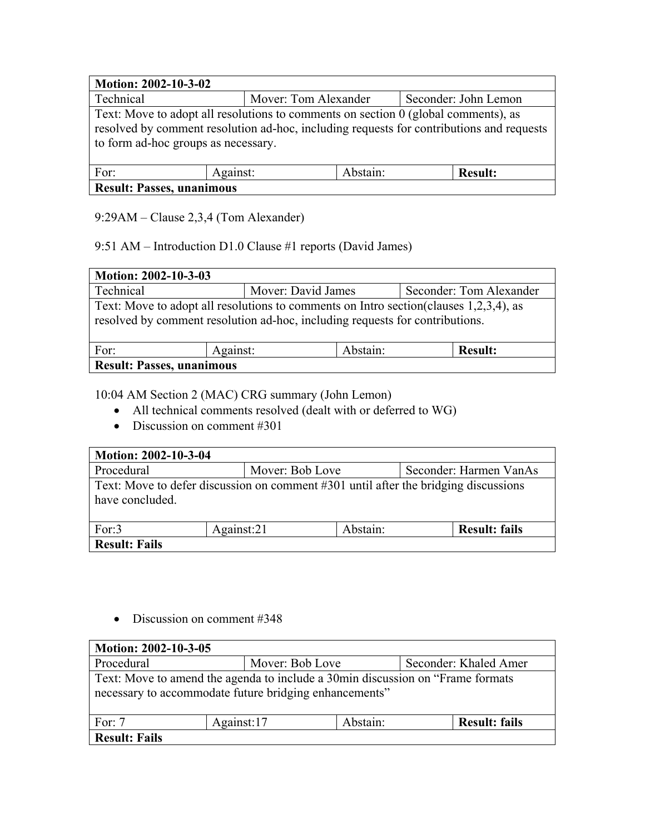| Motion: 2002-10-3-02                                                                                                                                                           |  |                                              |  |  |  |  |
|--------------------------------------------------------------------------------------------------------------------------------------------------------------------------------|--|----------------------------------------------|--|--|--|--|
| Technical                                                                                                                                                                      |  | Seconder: John Lemon<br>Mover: Tom Alexander |  |  |  |  |
| Text: Move to adopt all resolutions to comments on section 0 (global comments), as<br>resolved by comment resolution ad-hoc, including requests for contributions and requests |  |                                              |  |  |  |  |
| to form ad-hoc groups as necessary.                                                                                                                                            |  |                                              |  |  |  |  |
| Abstain:<br>For:<br>Against:<br><b>Result:</b>                                                                                                                                 |  |                                              |  |  |  |  |
| <b>Result: Passes, unanimous</b>                                                                                                                                               |  |                                              |  |  |  |  |

## $9:29AM - Claude 2,3,4$  (Tom Alexander)

## 9:51 AM – Introduction D1.0 Clause #1 reports (David James)

| Motion: 2002-10-3-03                                                                                                                                                   |  |                                               |  |  |  |  |
|------------------------------------------------------------------------------------------------------------------------------------------------------------------------|--|-----------------------------------------------|--|--|--|--|
| Technical                                                                                                                                                              |  | Seconder: Tom Alexander<br>Mover: David James |  |  |  |  |
| Text: Move to adopt all resolutions to comments on Intro section (clauses 1,2,3,4), as<br>resolved by comment resolution ad-hoc, including requests for contributions. |  |                                               |  |  |  |  |
| For:<br>Abstain:<br><b>Result:</b><br>Against:                                                                                                                         |  |                                               |  |  |  |  |
| <b>Result: Passes, unanimous</b>                                                                                                                                       |  |                                               |  |  |  |  |

#### 10:04 AM Section 2 (MAC) CRG summary (John Lemon)

- All technical comments resolved (dealt with or deferred to WG)
- Discussion on comment #301

| Motion: 2002-10-3-04                                                                                   |            |                                           |                      |  |  |
|--------------------------------------------------------------------------------------------------------|------------|-------------------------------------------|----------------------|--|--|
| Procedural                                                                                             |            | Mover: Bob Love<br>Seconder: Harmen VanAs |                      |  |  |
| Text: Move to defer discussion on comment #301 until after the bridging discussions<br>have concluded. |            |                                           |                      |  |  |
| For:3                                                                                                  | Against:21 | Abstain:                                  | <b>Result: fails</b> |  |  |
| <b>Result: Fails</b>                                                                                   |            |                                           |                      |  |  |

• Discussion on comment #348

| Motion: 2002-10-3-05                                                                                                                      |  |                                          |  |  |  |  |
|-------------------------------------------------------------------------------------------------------------------------------------------|--|------------------------------------------|--|--|--|--|
| Procedural                                                                                                                                |  | Mover: Bob Love<br>Seconder: Khaled Amer |  |  |  |  |
| Text: Move to amend the agenda to include a 30min discussion on "Frame formats"<br>necessary to accommodate future bridging enhancements" |  |                                          |  |  |  |  |
| Against:17<br>Abstain:<br><b>Result: fails</b><br>For: $7$                                                                                |  |                                          |  |  |  |  |
| <b>Result: Fails</b>                                                                                                                      |  |                                          |  |  |  |  |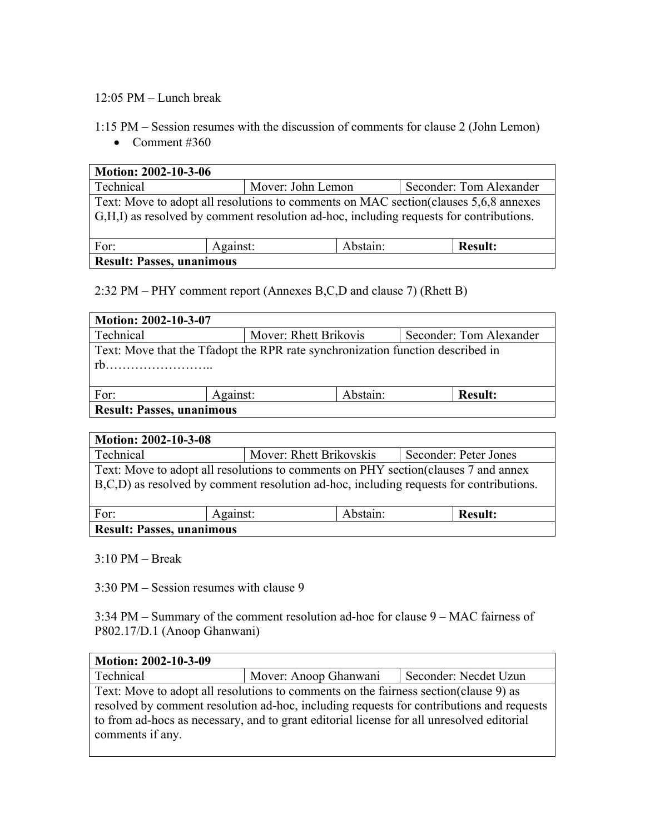#### $12:05$  PM  $-$  Lunch break

1:15 PM – Session resumes with the discussion of comments for clause 2 (John Lemon)

• Comment  $#360$ 

| Motion: 2002-10-3-06                                                                                                                                                             |                                              |  |  |  |  |  |
|----------------------------------------------------------------------------------------------------------------------------------------------------------------------------------|----------------------------------------------|--|--|--|--|--|
| Technical                                                                                                                                                                        | Seconder: Tom Alexander<br>Mover: John Lemon |  |  |  |  |  |
| Text: Move to adopt all resolutions to comments on MAC section (clauses 5,6,8 annexes)<br>G,H,I) as resolved by comment resolution ad-hoc, including requests for contributions. |                                              |  |  |  |  |  |
| For:<br>Abstain:<br>Against:<br><b>Result:</b>                                                                                                                                   |                                              |  |  |  |  |  |
| <b>Result: Passes, unanimous</b>                                                                                                                                                 |                                              |  |  |  |  |  |

 $2:32 \text{ PM} - \text{PHY}$  comment report (Annexes B,C,D and clause 7) (Rhett B)

| Motion: 2002-10-3-07                                                                      |          |                                                  |                |  |  |
|-------------------------------------------------------------------------------------------|----------|--------------------------------------------------|----------------|--|--|
| Technical                                                                                 |          | Mover: Rhett Brikovis<br>Seconder: Tom Alexander |                |  |  |
| Text: Move that the Tfadopt the RPR rate synchronization function described in<br>rh<br>. |          |                                                  |                |  |  |
| For:                                                                                      | Against: | Abstain:                                         | <b>Result:</b> |  |  |
| <b>Result: Passes, unanimous</b>                                                          |          |                                                  |                |  |  |

| <b>Motion: 2002-10-3-08</b>                                                                                                                                                   |  |                         |                       |  |  |  |
|-------------------------------------------------------------------------------------------------------------------------------------------------------------------------------|--|-------------------------|-----------------------|--|--|--|
| Technical                                                                                                                                                                     |  | Mover: Rhett Brikovskis | Seconder: Peter Jones |  |  |  |
| Text: Move to adopt all resolutions to comments on PHY section (clauses 7 and annex<br>B,C,D) as resolved by comment resolution ad-hoc, including requests for contributions. |  |                         |                       |  |  |  |
| Abstain:<br><b>Result:</b><br>For:<br>Against:                                                                                                                                |  |                         |                       |  |  |  |
| <b>Result: Passes, unanimous</b>                                                                                                                                              |  |                         |                       |  |  |  |

 $3:10$  PM  $-$  Break

 $3:30 \text{ PM} - \text{Session}$  resumes with clause 9

 $3:34$  PM – Summary of the comment resolution ad-hoc for clause  $9 - MAC$  fairness of P802.17/D.1 (Anoop Ghanwani)

| Motion: 2002-10-3-09 |                                                                                                                                                                                                                                                                                |                       |  |  |  |  |
|----------------------|--------------------------------------------------------------------------------------------------------------------------------------------------------------------------------------------------------------------------------------------------------------------------------|-----------------------|--|--|--|--|
| Technical            | Mover: Anoop Ghanwani                                                                                                                                                                                                                                                          | Seconder: Necdet Uzun |  |  |  |  |
| comments if any.     | Text: Move to adopt all resolutions to comments on the fairness section (clause 9) as<br>resolved by comment resolution ad-hoc, including requests for contributions and requests<br>to from ad-hocs as necessary, and to grant editorial license for all unresolved editorial |                       |  |  |  |  |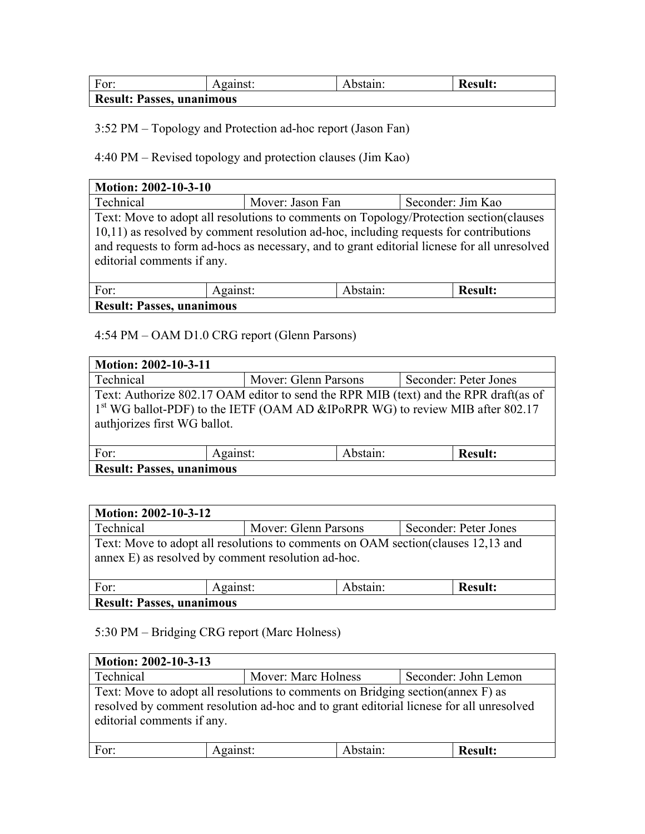| For:                             | Against: | Abstain: | <b>Result:</b> |  |
|----------------------------------|----------|----------|----------------|--|
| <b>Result: Passes, unanimous</b> |          |          |                |  |

3:52 PM – Topology and Protection ad-hoc report (Jason Fan)

4:40 PM – Revised topology and protection clauses (Jim Kao)

| Motion: 2002-10-3-10                                                                                                                                                                                                                                                                                          |  |                                       |  |  |  |  |  |
|---------------------------------------------------------------------------------------------------------------------------------------------------------------------------------------------------------------------------------------------------------------------------------------------------------------|--|---------------------------------------|--|--|--|--|--|
| Technical                                                                                                                                                                                                                                                                                                     |  | Seconder: Jim Kao<br>Mover: Jason Fan |  |  |  |  |  |
| Text: Move to adopt all resolutions to comments on Topology/Protection section(clauses<br>10,11) as resolved by comment resolution ad-hoc, including requests for contributions<br>and requests to form ad-hocs as necessary, and to grant editorial licnese for all unresolved<br>editorial comments if any. |  |                                       |  |  |  |  |  |
| Abstain:<br>For:<br><b>Result:</b><br>Against:                                                                                                                                                                                                                                                                |  |                                       |  |  |  |  |  |
| <b>Result: Passes, unanimous</b>                                                                                                                                                                                                                                                                              |  |                                       |  |  |  |  |  |

#### 4:54 PM – OAM D1.0 CRG report (Glenn Parsons)

| Motion: 2002-10-3-11                                                                                                                                                                                              |  |                                               |  |  |
|-------------------------------------------------------------------------------------------------------------------------------------------------------------------------------------------------------------------|--|-----------------------------------------------|--|--|
| Technical                                                                                                                                                                                                         |  | Seconder: Peter Jones<br>Mover: Glenn Parsons |  |  |
| Text: Authorize 802.17 OAM editor to send the RPR MIB (text) and the RPR draft(as of<br>1 <sup>st</sup> WG ballot-PDF) to the IETF (OAM AD &IPoRPR WG) to review MIB after 802.17<br>authiorizes first WG ballot. |  |                                               |  |  |
| Abstain:<br>Against:<br>For:<br><b>Result:</b>                                                                                                                                                                    |  |                                               |  |  |
| <b>Result: Passes, unanimous</b>                                                                                                                                                                                  |  |                                               |  |  |

| <b>Motion: 2002-10-3-12</b>                                                                                                             |  |                                               |  |  |  |
|-----------------------------------------------------------------------------------------------------------------------------------------|--|-----------------------------------------------|--|--|--|
| Technical                                                                                                                               |  | Seconder: Peter Jones<br>Mover: Glenn Parsons |  |  |  |
| Text: Move to adopt all resolutions to comments on OAM section (clauses 12,13 and<br>annex E) as resolved by comment resolution ad-hoc. |  |                                               |  |  |  |
| Abstain:<br>For:<br><b>Result:</b><br>Against:                                                                                          |  |                                               |  |  |  |
| <b>Result: Passes, unanimous</b>                                                                                                        |  |                                               |  |  |  |

## 5:30 PM – Bridging CRG report (Marc Holness)

| Motion: 2002-10-3-13                                                                                                                                                                                      |          |                                             |                |  |  |  |
|-----------------------------------------------------------------------------------------------------------------------------------------------------------------------------------------------------------|----------|---------------------------------------------|----------------|--|--|--|
| Technical                                                                                                                                                                                                 |          | Seconder: John Lemon<br>Mover: Marc Holness |                |  |  |  |
| Text: Move to adopt all resolutions to comments on Bridging section (annex F) as<br>resolved by comment resolution ad-hoc and to grant editorial licnese for all unresolved<br>editorial comments if any. |          |                                             |                |  |  |  |
| For:                                                                                                                                                                                                      | Against: | Abstain:                                    | <b>Result:</b> |  |  |  |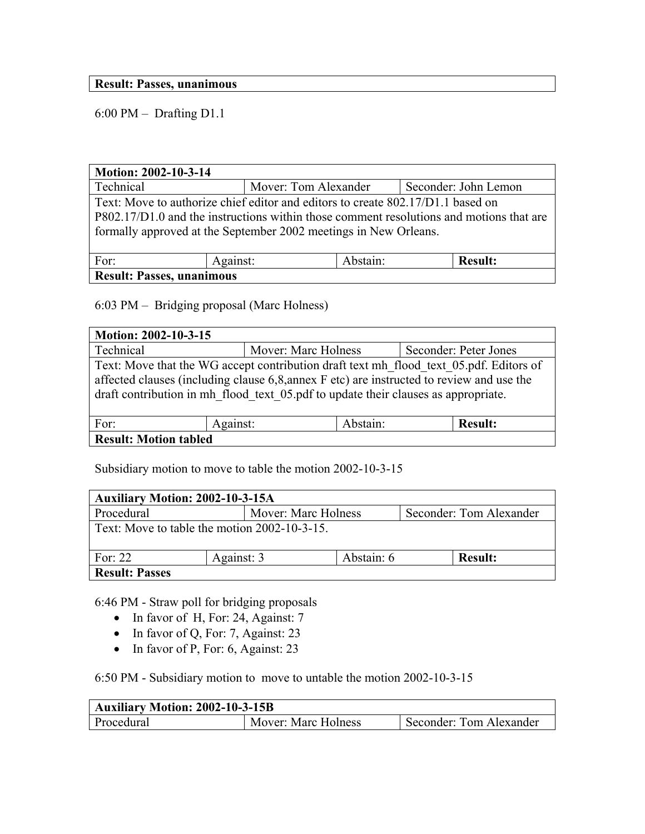#### **Result: Passes, unanimous**

 $6:00 \text{ PM} - \text{Drafting D1.1}$ 

| Motion: 2002-10-3-14                                                                                                                                                                                                                           |  |                                              |  |  |  |  |
|------------------------------------------------------------------------------------------------------------------------------------------------------------------------------------------------------------------------------------------------|--|----------------------------------------------|--|--|--|--|
| Technical                                                                                                                                                                                                                                      |  | Seconder: John Lemon<br>Mover: Tom Alexander |  |  |  |  |
| Text: Move to authorize chief editor and editors to create 802.17/D1.1 based on<br>P802.17/D1.0 and the instructions within those comment resolutions and motions that are<br>formally approved at the September 2002 meetings in New Orleans. |  |                                              |  |  |  |  |
| For:<br>Abstain:<br><b>Result:</b><br>Against:                                                                                                                                                                                                 |  |                                              |  |  |  |  |
| <b>Result: Passes, unanimous</b>                                                                                                                                                                                                               |  |                                              |  |  |  |  |

6:03 PM - Bridging proposal (Marc Holness)

| Motion: 2002-10-3-15                           |                                                                                                                                                                                                                                                                           |                                              |  |  |  |  |
|------------------------------------------------|---------------------------------------------------------------------------------------------------------------------------------------------------------------------------------------------------------------------------------------------------------------------------|----------------------------------------------|--|--|--|--|
| Technical                                      |                                                                                                                                                                                                                                                                           | Mover: Marc Holness<br>Seconder: Peter Jones |  |  |  |  |
|                                                | Text: Move that the WG accept contribution draft text mh flood text 05.pdf. Editors of<br>affected clauses (including clause 6,8, annex F etc) are instructed to review and use the<br>draft contribution in mh flood text 05 pdf to update their clauses as appropriate. |                                              |  |  |  |  |
| Against:<br>Abstain:<br>For:<br><b>Result:</b> |                                                                                                                                                                                                                                                                           |                                              |  |  |  |  |
| <b>Result: Motion tabled</b>                   |                                                                                                                                                                                                                                                                           |                                              |  |  |  |  |

Subsidiary motion to move to table the motion 2002-10-3-15

| <b>Auxiliary Motion: 2002-10-3-15A</b>                  |                                                |  |  |  |  |
|---------------------------------------------------------|------------------------------------------------|--|--|--|--|
| Procedural                                              | Mover: Marc Holness<br>Seconder: Tom Alexander |  |  |  |  |
| Text: Move to table the motion 2002-10-3-15.            |                                                |  |  |  |  |
| Abstain: 6<br>For: $22$<br>Against: 3<br><b>Result:</b> |                                                |  |  |  |  |
| <b>Result: Passes</b>                                   |                                                |  |  |  |  |

6:46 PM - Straw poll for bridging proposals

- In favor of H, For: 24, Against: 7
- In favor of Q, For: 7, Against: 23
- In favor of P, For: 6, Against: 23

6:50 PM - Subsidiary motion to move to untable the motion 2002-10-3-15

| <b>Auxiliary Motion: 2002-10-3-15B</b> |                     |                         |  |
|----------------------------------------|---------------------|-------------------------|--|
| Procedural                             | Mover: Marc Holness | Seconder: Tom Alexander |  |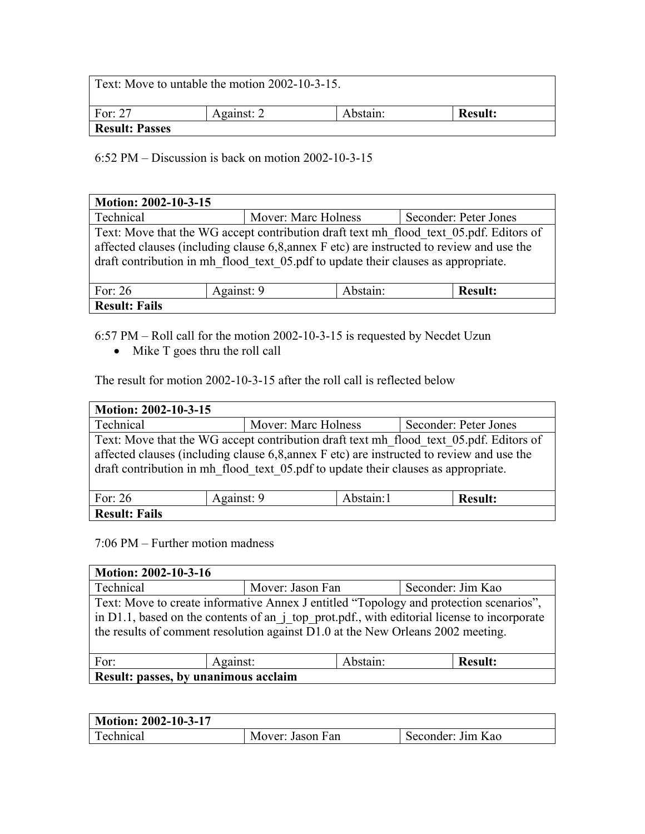| Text: Move to untable the motion 2002-10-3-15. |            |          |                |
|------------------------------------------------|------------|----------|----------------|
| For: $27$                                      | Against: 2 | Abstain: | <b>Result:</b> |
| <b>Result: Passes</b>                          |            |          |                |

 $6:52 \text{ PM} - \text{Discussion}$  is back on motion 2002-10-3-15

| Motion: 2002-10-3-15                                  |                                                                                                                                                                                                                                                                           |                     |                       |  |  |
|-------------------------------------------------------|---------------------------------------------------------------------------------------------------------------------------------------------------------------------------------------------------------------------------------------------------------------------------|---------------------|-----------------------|--|--|
| Technical                                             |                                                                                                                                                                                                                                                                           | Mover: Marc Holness | Seconder: Peter Jones |  |  |
|                                                       | Text: Move that the WG accept contribution draft text mh flood text 05.pdf. Editors of<br>affected clauses (including clause 6,8, annex F etc) are instructed to review and use the<br>draft contribution in mh flood text 05 pdf to update their clauses as appropriate. |                     |                       |  |  |
| Abstain:<br>For: $26$<br>Against: 9<br><b>Result:</b> |                                                                                                                                                                                                                                                                           |                     |                       |  |  |
| <b>Result: Fails</b>                                  |                                                                                                                                                                                                                                                                           |                     |                       |  |  |

 $6:57$  PM – Roll call for the motion 2002-10-3-15 is requested by Necdet Uzun

• Mike T goes thru the roll call

The result for motion 2002-10-3-15 after the roll call is reflected below

| Motion: 2002-10-3-15                                                                                                                                                                                                                                                      |            |                                              |                |  |  |  |
|---------------------------------------------------------------------------------------------------------------------------------------------------------------------------------------------------------------------------------------------------------------------------|------------|----------------------------------------------|----------------|--|--|--|
| Technical                                                                                                                                                                                                                                                                 |            | Mover: Marc Holness<br>Seconder: Peter Jones |                |  |  |  |
| Text: Move that the WG accept contribution draft text mh flood text 05.pdf. Editors of<br>affected clauses (including clause 6,8, annex F etc) are instructed to review and use the<br>draft contribution in mh flood text 05 pdf to update their clauses as appropriate. |            |                                              |                |  |  |  |
| For: $26$                                                                                                                                                                                                                                                                 | Against: 9 | Abstain:1                                    | <b>Result:</b> |  |  |  |
| <b>Result: Fails</b>                                                                                                                                                                                                                                                      |            |                                              |                |  |  |  |

 $7:06$  PM  $-$  Further motion madness

| Motion: 2002-10-3-16                           |                                                                                                                                                                                                                                                                          |                                       |  |  |  |  |
|------------------------------------------------|--------------------------------------------------------------------------------------------------------------------------------------------------------------------------------------------------------------------------------------------------------------------------|---------------------------------------|--|--|--|--|
| Technical                                      |                                                                                                                                                                                                                                                                          | Mover: Jason Fan<br>Seconder: Jim Kao |  |  |  |  |
|                                                | Text: Move to create informative Annex J entitled "Topology and protection scenarios",<br>in D1.1, based on the contents of an j top prot.pdf., with editorial license to incorporate<br>the results of comment resolution against D1.0 at the New Orleans 2002 meeting. |                                       |  |  |  |  |
| Against:<br>Abstain:<br>For:<br><b>Result:</b> |                                                                                                                                                                                                                                                                          |                                       |  |  |  |  |
| Result: passes, by unanimous acclaim           |                                                                                                                                                                                                                                                                          |                                       |  |  |  |  |

| Motion: 2002-10-3-17 |                  |                   |  |
|----------------------|------------------|-------------------|--|
| <b>Technical</b>     | Mover: Jason Fan | Seconder: Jim Kao |  |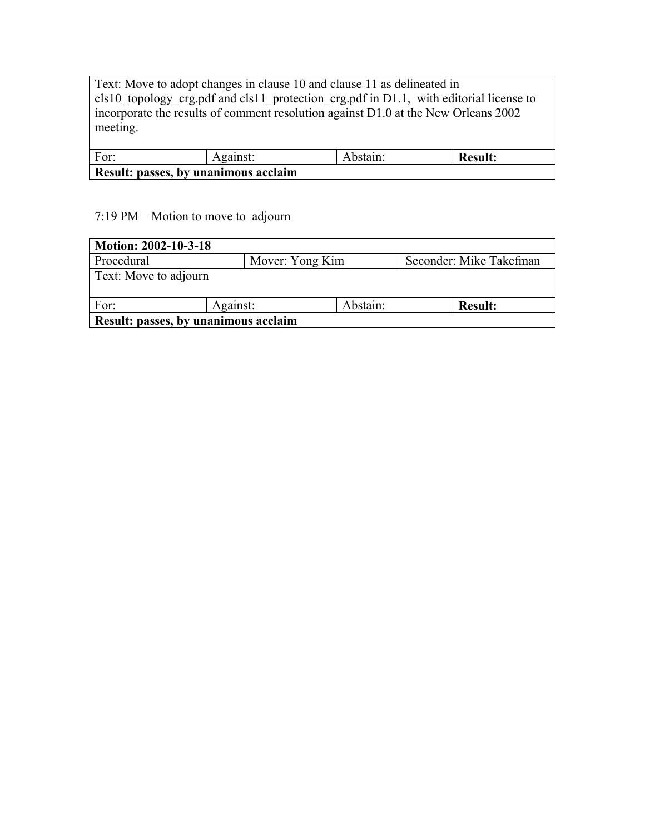Text: Move to adopt changes in clause 10 and clause 11 as delineated in cls10 topology crg.pdf and cls11 protection crg.pdf in D1.1, with editorial license to incorporate the results of comment resolution against D1.0 at the New Orleans 2002 meeting.

| For:                                 | Against: | Abstain: | <b>Result:</b> |  |  |
|--------------------------------------|----------|----------|----------------|--|--|
| Result: passes, by unanimous acclaim |          |          |                |  |  |

#### $7:19 \text{ PM} - \text{Motion}$  to move to adjourn

| Motion: 2002-10-3-18                 |                 |          |                         |  |  |
|--------------------------------------|-----------------|----------|-------------------------|--|--|
| Procedural                           | Mover: Yong Kim |          | Seconder: Mike Takefman |  |  |
| Text: Move to adjourn                |                 |          |                         |  |  |
| For:                                 | Against:        | Abstain: | <b>Result:</b>          |  |  |
| Result: passes, by unanimous acclaim |                 |          |                         |  |  |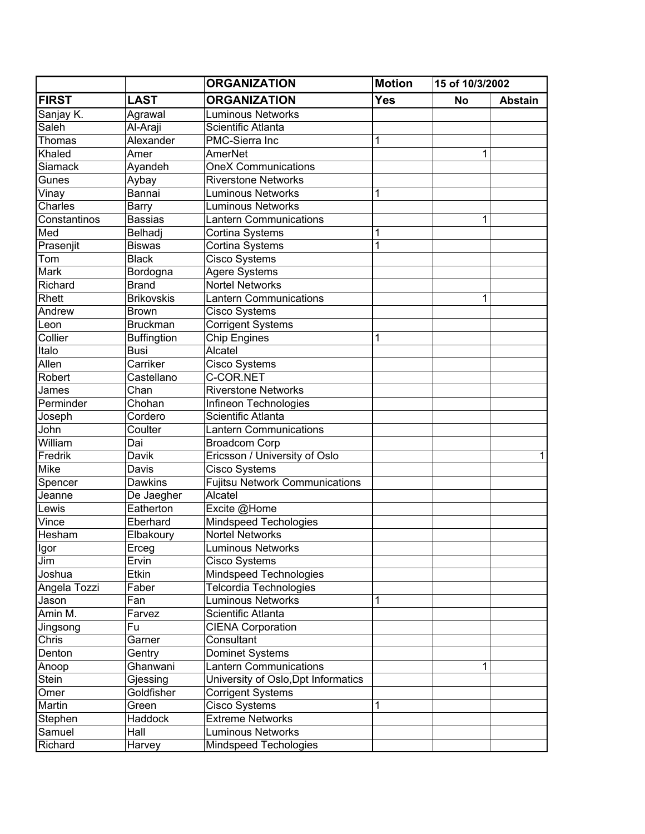|                |                    | <b>ORGANIZATION</b>                   | <b>Motion</b> | 15 of 10/3/2002 |                |
|----------------|--------------------|---------------------------------------|---------------|-----------------|----------------|
| <b>FIRST</b>   | <b>LAST</b>        | <b>ORGANIZATION</b>                   | Yes           | No              | <b>Abstain</b> |
| Sanjay K.      | Agrawal            | <b>Luminous Networks</b>              |               |                 |                |
| Saleh          | Al-Araji           | Scientific Atlanta                    |               |                 |                |
| Thomas         | Alexander          | PMC-Sierra Inc                        | 1             |                 |                |
| Khaled         | Amer               | AmerNet                               |               | 1               |                |
| <b>Siamack</b> | Ayandeh            | <b>OneX Communications</b>            |               |                 |                |
| Gunes          | Aybay              | <b>Riverstone Networks</b>            |               |                 |                |
| Vinay          | Bannai             | <b>Luminous Networks</b>              | 1             |                 |                |
| Charles        | Barry              | <b>Luminous Networks</b>              |               |                 |                |
| Constantinos   | <b>Bassias</b>     | <b>Lantern Communications</b>         |               | 1               |                |
| Med            | Belhadj            | Cortina Systems                       | 1             |                 |                |
| Prasenjit      | <b>Biswas</b>      | Cortina Systems                       | 1             |                 |                |
| Tom            | <b>Black</b>       | Cisco Systems                         |               |                 |                |
| Mark           | Bordogna           | Agere Systems                         |               |                 |                |
| Richard        | <b>Brand</b>       | <b>Nortel Networks</b>                |               |                 |                |
| Rhett          | <b>Brikovskis</b>  | <b>Lantern Communications</b>         |               | 1               |                |
| Andrew         | <b>Brown</b>       | <b>Cisco Systems</b>                  |               |                 |                |
| Leon           | <b>Bruckman</b>    | <b>Corrigent Systems</b>              |               |                 |                |
| Collier        | <b>Buffingtion</b> | <b>Chip Engines</b>                   | 1             |                 |                |
| Italo          | <b>Busi</b>        | Alcatel                               |               |                 |                |
| Allen          | Carriker           | <b>Cisco Systems</b>                  |               |                 |                |
| Robert         | Castellano         | C-COR.NET                             |               |                 |                |
| James          | Chan               | <b>Riverstone Networks</b>            |               |                 |                |
| Perminder      | Chohan             | Infineon Technologies                 |               |                 |                |
| Joseph         | Cordero            | Scientific Atlanta                    |               |                 |                |
| John           | Coulter            | <b>Lantern Communications</b>         |               |                 |                |
| William        | Dai                | <b>Broadcom Corp</b>                  |               |                 |                |
| Fredrik        | Davik              | Ericsson / University of Oslo         |               |                 | 1              |
| <b>Mike</b>    | Davis              | Cisco Systems                         |               |                 |                |
| Spencer        | Dawkins            | <b>Fujitsu Network Communications</b> |               |                 |                |
| Jeanne         | De Jaegher         | Alcatel                               |               |                 |                |
| Lewis          | Eatherton          | Excite @Home                          |               |                 |                |
| Vince          | Eberhard           | Mindspeed Techologies                 |               |                 |                |
| Hesham         | Elbakoury          | <b>Nortel Networks</b>                |               |                 |                |
| Igor           | Erceg              | <b>Luminous Networks</b>              |               |                 |                |
| Jim            | Ervin              | <b>Cisco Systems</b>                  |               |                 |                |
| Joshua         | Etkin              | Mindspeed Technologies                |               |                 |                |
| Angela Tozzi   | Faber              | Telcordia Technologies                |               |                 |                |
| Jason          | Fan                | <b>Luminous Networks</b>              | 1             |                 |                |
| Amin M.        | Farvez             | Scientific Atlanta                    |               |                 |                |
| Jingsong       | Fu                 | <b>CIENA Corporation</b>              |               |                 |                |
| Chris          | Garner             | Consultant                            |               |                 |                |
| Denton         | Gentry             | Dominet Systems                       |               |                 |                |
| Anoop          | Ghanwani           | <b>Lantern Communications</b>         |               | 1               |                |
| Stein          | Gjessing           | University of Oslo, Dpt Informatics   |               |                 |                |
| Omer           | Goldfisher         | <b>Corrigent Systems</b>              |               |                 |                |
| Martin         | Green              | <b>Cisco Systems</b>                  | 1             |                 |                |
| Stephen        | Haddock            | <b>Extreme Networks</b>               |               |                 |                |
| Samuel         | Hall               | <b>Luminous Networks</b>              |               |                 |                |
| Richard        | Harvey             | Mindspeed Techologies                 |               |                 |                |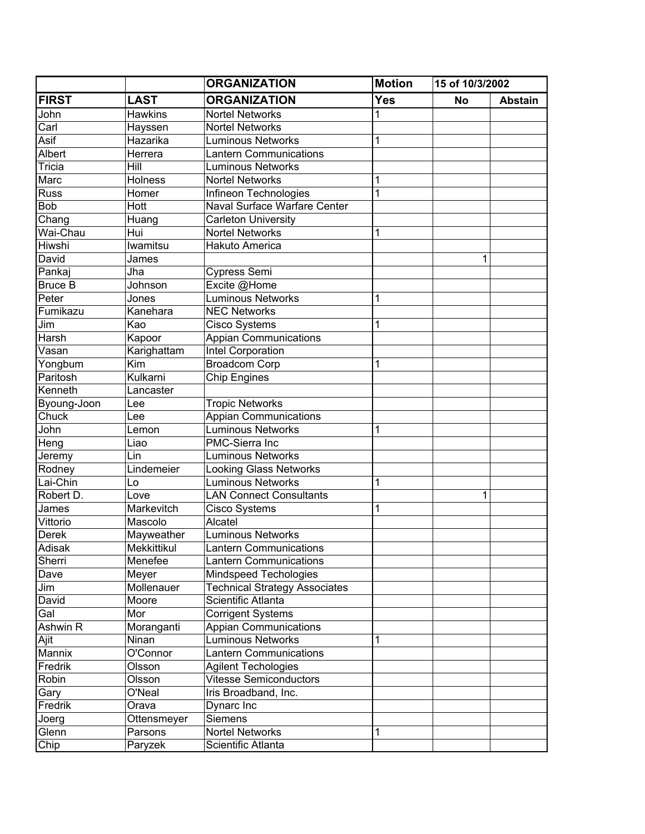|                |                | <b>ORGANIZATION</b>                  | <b>Motion</b> | 15 of 10/3/2002 |                |
|----------------|----------------|--------------------------------------|---------------|-----------------|----------------|
| <b>FIRST</b>   | <b>LAST</b>    | <b>ORGANIZATION</b>                  | <b>Yes</b>    | <b>No</b>       | <b>Abstain</b> |
| John           | <b>Hawkins</b> | <b>Nortel Networks</b>               |               |                 |                |
| Carl           | Hayssen        | <b>Nortel Networks</b>               |               |                 |                |
| Asif           | Hazarika       | <b>Luminous Networks</b>             | 1             |                 |                |
| Albert         | Herrera        | <b>Lantern Communications</b>        |               |                 |                |
| Tricia         | Hill           | <b>Luminous Networks</b>             |               |                 |                |
| Marc           | <b>Holness</b> | <b>Nortel Networks</b>               |               |                 |                |
| <b>Russ</b>    | Homer          | Infineon Technologies                | 1             |                 |                |
| <b>Bob</b>     | Hott           | Naval Surface Warfare Center         |               |                 |                |
| Chang          | Huang          | <b>Carleton University</b>           |               |                 |                |
| Wai-Chau       | Hui            | <b>Nortel Networks</b>               | 1             |                 |                |
| Hiwshi         | Iwamitsu       | Hakuto America                       |               |                 |                |
| David          | James          |                                      |               | 1               |                |
| Pankaj         | Jha            | <b>Cypress Semi</b>                  |               |                 |                |
| <b>Bruce B</b> | Johnson        | Excite @Home                         |               |                 |                |
| Peter          | Jones          | <b>Luminous Networks</b>             | 1             |                 |                |
| Fumikazu       | Kanehara       | <b>NEC Networks</b>                  |               |                 |                |
| Jim            | Kao            | Cisco Systems                        |               |                 |                |
| Harsh          | Kapoor         | <b>Appian Communications</b>         |               |                 |                |
| Vasan          | Karighattam    | Intel Corporation                    |               |                 |                |
| Yongbum        | Kim            | Broadcom Corp                        |               |                 |                |
| Paritosh       | Kulkarni       | <b>Chip Engines</b>                  |               |                 |                |
| Kenneth        | Lancaster      |                                      |               |                 |                |
| Byoung-Joon    | Lee            | <b>Tropic Networks</b>               |               |                 |                |
| Chuck          | Lee            | <b>Appian Communications</b>         |               |                 |                |
| John           | Lemon          | <b>Luminous Networks</b>             |               |                 |                |
| Heng           | Liao           | PMC-Sierra Inc                       |               |                 |                |
| Jeremy         | Lin            | <b>Luminous Networks</b>             |               |                 |                |
| Rodney         | Lindemeier     | <b>Looking Glass Networks</b>        |               |                 |                |
| Lai-Chin       | Lo             | Luminous Networks                    | 1             |                 |                |
| Robert D.      | Love           | <b>LAN Connect Consultants</b>       |               | 1               |                |
| James          | Markevitch     | Cisco Systems                        | 1             |                 |                |
| Vittorio       | Mascolo        | Alcatel                              |               |                 |                |
| <b>Derek</b>   | Mayweather     | <b>Luminous Networks</b>             |               |                 |                |
| Adisak         | Mekkittikul    | <b>Lantern Communications</b>        |               |                 |                |
| Sherri         | Menefee        | <b>Lantern Communications</b>        |               |                 |                |
| Dave           | Meyer          | Mindspeed Techologies                |               |                 |                |
| Jim            | Mollenauer     | <b>Technical Strategy Associates</b> |               |                 |                |
| David          | Moore          | Scientific Atlanta                   |               |                 |                |
| Gal            | Mor            | <b>Corrigent Systems</b>             |               |                 |                |
| Ashwin R       | Moranganti     | <b>Appian Communications</b>         |               |                 |                |
| Ajit           | Ninan          | <b>Luminous Networks</b>             |               |                 |                |
| Mannix         | O'Connor       | <b>Lantern Communications</b>        |               |                 |                |
| Fredrik        | Olsson         | <b>Agilent Techologies</b>           |               |                 |                |
| Robin          | Olsson         | <b>Vitesse Semiconductors</b>        |               |                 |                |
| Gary           | O'Neal         | Iris Broadband, Inc.                 |               |                 |                |
| Fredrik        | Orava          | Dynarc Inc                           |               |                 |                |
| Joerg          | Ottensmeyer    | Siemens                              |               |                 |                |
| Glenn          | Parsons        | <b>Nortel Networks</b>               | 1             |                 |                |
| Chip           | Paryzek        | Scientific Atlanta                   |               |                 |                |